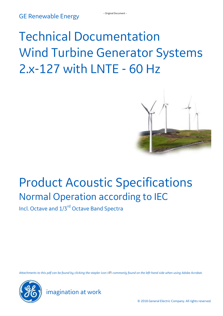# Technical Documentation Wind Turbine Generator Systems 2.x-127 with LNTE - 60 Hz



# <span id="page-0-1"></span><span id="page-0-0"></span>Product Acoustic Specifications Normal Operation according to IEC

Incl. Octave and  $1/3^{rd}$  Octave Band Spectra

*Attachments to this pdf can be found by clicking the stapler icon ( ) commonly found on the left-hand side when using Adobe Acrobat.*



imagination at work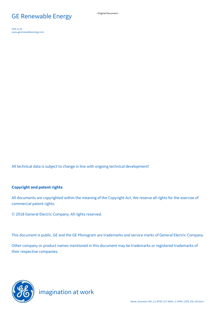# GE Renewable Energy **Figure 1** - Original Document -

Visit us at [www.gerenewableenergy.com](https://www.gerenewableenergy.com/)

All technical data is subject to change in line with ongoing technical development!

#### **Copyright and patent rights**

All documents are copyrighted within the meaning of the Copyright Act. We reserve all rights for the exercise of commercial patent rights.

2018 General Electric Company. All rights reserved.

This document is public. GE and the GE Monogram are trademarks and service marks of General Electric Company.

Other company or product names mentioned in this document may be trademarks or registered trademarks of their respective companies.

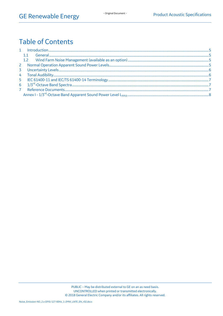# **Table of Contents**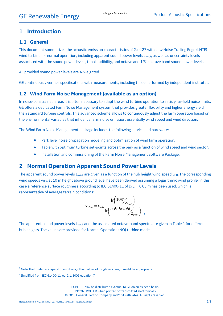#### <span id="page-4-0"></span>**1 Introduction**

#### <span id="page-4-1"></span>**1.1 General**

This document summarizes the acoustic emission characteristics of 2.x-127 with Low Noise Trailing Edge (LNTE) wind turbine for normal operation, including apparent sound power levels L<sub>WAK</sub>, as well as uncertainty levels associated with the sound power levels, tonal audibility, and octave and 1/3<sup>rd</sup>-octave band sound power levels.

All provided sound power levels are A-weighted.

GE continuously verifies specifications with measurements, including those performed by independent institutes.

#### <span id="page-4-2"></span>**1.2 Wind Farm Noise Management (available as an option)**

In noise-constrained areas it is often necessary to adapt the wind turbine operation to satisfy far-field noise limits. GE offers a dedicated Farm Noise Management system that provides greater flexibility and higher energy yield than standard turbine controls. This advanced scheme allows to continuously adjust the farm operation based on the environmental variables that influence farm noise emission, essentially wind speed and wind direction.

The Wind Farm Noise Management package includes the following service and hardware:

- Park level noise propagation modeling and optimization of wind farm operation,
- Table with optimum turbine set-points across the park as a function of wind speed and wind sector,
- **Installation and commissioning of the Farm Noise Management Software Package.**

#### <span id="page-4-3"></span>**2 Normal Operation Apparent Sound Power Levels**

The apparent sound power levels L<sub>WA,k</sub> are given as a function of the hub height wind speed v<sub>HH</sub>. The corresponding wind speeds v<sub>10m</sub> at 10 m height above ground level have been derived assuming a logarithmic wind profile. In this case a reference surface roughness according to IEC 61400-11 of  $z<sub>0,ref</sub> = 0.05$  m has been used, which is representative of average terrain conditions<sup>1</sup>. .

$$
v_{10m} = v_{HH} \frac{\ln(10m/2_{0ref})}{\ln(hub height/2_{0ref})}
$$

The apparent sound power levels L<sub>WA</sub>, and the associated octave-band spectra are given in Table 1 for different hub heights. The values are provided for Normal Operation (NO) turbine mode.

 $\overline{a}$ 

 $<sup>1</sup>$  Note, that under site-specific conditions, other values of roughness length might be appropriate.</sup>

 $2$  Simplified from IEC 61400-11, ed. 2.1: 2006 equation 7

PUBLIC – May be distributed external to GE on an as need basis. UNCONTROLLED when printed or transmitted electronically. © 2018 General Electric Company and/or its affiliates. All rights reserved.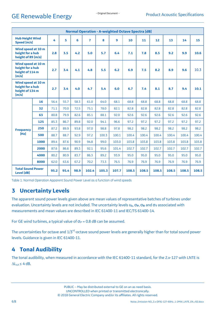# GE Renewable Energy **Figure 1** - Original Document -

| <b>Normal Operation - A-weighted Octave Spectra [dB]</b>                                                                           |      |      |      |      |                |       |       |       |       |       |       |       |       |
|------------------------------------------------------------------------------------------------------------------------------------|------|------|------|------|----------------|-------|-------|-------|-------|-------|-------|-------|-------|
| <b>Hub Height Wind</b><br>Speed [m/s]                                                                                              |      | 4    | 5    | 6    | $\overline{7}$ | 8     | 9     | 10    | 11    | 12    | 13    | 14    | 15    |
| Wind speed at 10 m<br>height for a hub<br>height of 89 [m/s]<br>Wind speed at 10 m<br>height for a hub<br>height of 114 m<br>[m/s] |      | 2.8  | 3.5  | 4.2  | 5.0            | 5.7   | 6.4   | 7.1   | 7.8   | 8.5   | 9.2   | 9.9   | 10.6  |
|                                                                                                                                    |      | 2.7  | 3.4  | 4.1  | 4.8            | 5.5   | 6.2   | 6.9   | 7.5   | 8.2   | 8.9   | 9.6   | 10.3  |
| Wind speed at 10 m<br>height for a hub<br>height of 134 m<br>[m/s]                                                                 |      | 2.7  | 3.4  | 4.0  | 4.7            | 5.4   | 6.0   | 6.7   | 7.4   | 8.1   | 8.7   | 9.4   | 10.1  |
|                                                                                                                                    | 16   | 56.4 | 55.7 | 58.3 | 61.0           | 64.0  | 68.1  | 68.8  | 68.8  | 68.8  | 68.8  | 68.8  | 68.8  |
|                                                                                                                                    | 32   | 71.1 | 70.0 | 72.5 | 75.1           | 78.0  | 82.1  | 82.8  | 82.8  | 82.8  | 82.8  | 82.8  | 82.8  |
|                                                                                                                                    | 63   | 80.8 | 79.9 | 82.6 | 85.1           | 88.1  | 92.0  | 92.6  | 92.6  | 92.6  | 92.6  | 92.6  | 92.6  |
|                                                                                                                                    | 125  | 85.3 | 86.7 | 89.8 | 92.0           | 94.1  | 96.6  | 97.2  | 97.2  | 97.2  | 97.2  | 97.2  | 97.2  |
| <b>Frequency</b>                                                                                                                   | 250  | 87.2 | 89.9 | 93.8 | 97.0           | 98.8  | 97.8  | 98.2  | 98.2  | 98.2  | 98.2  | 98.2  | 98.2  |
| [Hz]                                                                                                                               | 500  | 88.7 | 88.7 | 92.9 | 97.2           | 100.3 | 100.1 | 100.4 | 100.4 | 100.4 | 100.4 | 100.4 | 100.4 |
|                                                                                                                                    | 1000 | 89.4 | 87.6 | 90.9 | 94.8           | 99.0  | 103.0 | 103.8 | 103.8 | 103.8 | 103.8 | 103.8 | 103.8 |
|                                                                                                                                    | 2000 | 87.6 | 86.6 | 89.3 | 92.1           | 95.6  | 101.4 | 102.7 | 102.7 | 102.7 | 102.7 | 102.7 | 102.7 |
|                                                                                                                                    | 4000 | 80.2 | 80.9 | 83.7 | 86.3           | 89.2  | 93.9  | 95.0  | 95.0  | 95.0  | 95.0  | 95.0  | 95.0  |
|                                                                                                                                    | 8000 | 62.0 | 63.6 | 67.2 | 70.2           | 73.3  | 76.5  | 76.9  | 76.9  | 76.9  | 76.9  | 76.9  | 76.9  |
| <b>Total Sound Power</b><br><b>Level [dB]</b>                                                                                      |      | 95.2 | 95.4 | 98.9 | 102.4          | 105.3 | 107.7 | 108.5 | 108.5 | 108.5 | 108.5 | 108.5 | 108.5 |

Table 1: Normal Operation Apparent Sound Power Level as a function of wind speeds

### <span id="page-5-2"></span><span id="page-5-0"></span>**3 Uncertainty Levels**

The apparent sound power levels given above are mean values of representative batches of turbines under evaluation. Uncertainty levels are not included. The uncertainty levels u**c**, σ**P**, σ**<sup>R</sup>** and σ**<sup>T</sup>** associated with measurements and mean values are described in IEC 61400-11 and IEC/TS 61400-14.

For GE wind turbines, a typical value of  $\sigma_P$  = 0.8 dB can be assumed.

The uncertainties for octave and 1/3<sup>rd</sup>-octave sound power levels are generally higher than for total sound power levels. Guidance is given in IEC 61400-11.

### <span id="page-5-1"></span>**4 Tonal Audibility**

The tonal audibility, when measured in accordance with the IEC 61400-11 standard, for the 2.x-127 with LNTE is  $\Delta L_{ak} \leq 4$  dB.

> PUBLIC – May be distributed external to GE on an as need basis. UNCONTROLLED when printed or transmitted electronically. © 2018 General Electric Company and/or its affiliates. All rights reserved.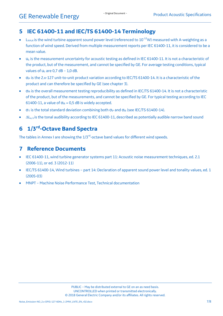#### <span id="page-6-0"></span>**5 IEC 61400-11 and IEC/TS 61400-14 Terminology**

- $L_{\text{WAK}}$  is the wind turbine apparent sound power level (referenced to 10<sup>-12</sup>W) measured with A-weighting as a function of wind speed. Derived from multiple measurement reports per IEC 61400-11, it is considered to be a mean value.
- $u_c$  is the measurement uncertainty for acoustic testing as defined in IEC 61400-11. It is not a characteristic of the product, but of the measurement, and cannot be specified by GE. For average testing conditions, typical values of  $u_c$  are 0,7 dB – 1,0 dB.
- $\sigma_P$  is the 2.x-127 unit-to-unit product variation according to IEC/TS 61400-14. It is a characteristic of the product and can therefore be specified by GE (see chapter [3\)](#page-5-2).
- $\bullet$   $\sigma_R$  is the overall measurement testing reproducibility as defined in IEC/TS 61400-14. It is not a characteristic of the product, but of the measurements, and cannot be specified by GE. For typical testing according to IEC 61400-11, a value of  $\sigma_R$  = 0,5 dB is widely accepted.
- $\sigma_T$  is the total standard deviation combining both  $\sigma_P$  and  $\sigma_R$  (see IEC/TS 61400-14).
- $\Delta L_{\text{a}}$  k is the tonal audibility according to IEC 61400-11, described as potentially audible narrow band sound

## <span id="page-6-1"></span>**6 1/3 rd -Octave Band Spectra**

The tables in Annex I are showing the 1/3<sup>rd</sup>-octave band values for different wind speeds.

#### <span id="page-6-2"></span>**7 Reference Documents**

- IEC 61400-11, wind turbine generator systems part 11: Acoustic noise measurement techniques, ed. 2.1 (2006-11), or ed. 3 (2012-11)
- IEC/TS 61400-14, Wind turbines part 14: Declaration of apparent sound power level and tonality values, ed. 1 (2005-03)
- MNPT Machine Noise Performance Test, Technical documentation